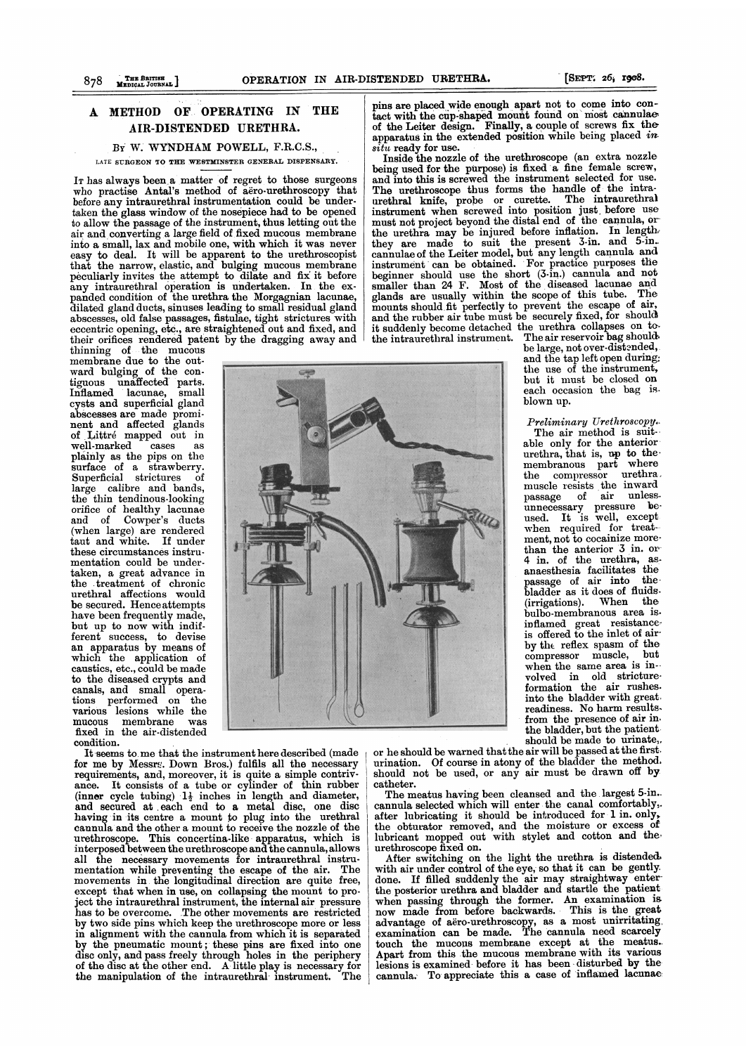### A METHOD OF OPERATING IN THE AIR-DISTENDED URETHRA.

## BY W. WYNDHAM POWELL, F.R.C.S.,

LATE SURGEON TO THE WESTMINSTER GENERAL DISPENSARY.

IT has always been.a matter of regret to those surgeons who practise Antal's method of aero-urethroscopy that before any intraurethral instrumentation could be undertaken the glass window of the nosepiece had to be opened to allow the passage of the instrument, thus letting out the air and converting a large field of fixed mucous membrane into a small, lax and mobile one, with which it was never easy to deal. It will be apparent to the urethroscopist that the narrow, elastic, and bulging mucous membrane peculiarly invites the attempt to dilate and fix it before any intraurethral operation is undertaken. In the expanded condition of the urethra the Morgagnian lacunae, dilated gland ducts, sinuses leading to small residual gland abscesses, old false passages, fistulae, tight strictures with eccentric opening, etc., are straightened out and fixed, and their orifices rendered patent by the dragging away and

thinning of the mucous membrane due to the outward bulging of the contiguous unaffected parts. Inflamed lacunae, small cysts and superficial gland abscesses are made prominent and affected glands of Littré mapped out in<br>well-marked cases as well-marked plainly as the pips on the surface of a strawberry.<br>Superficial strictures of **Allen and Stricture** large calibre and bands, the thin tendinous-looking orifice of healthy lacunae and of Cowper's ducts (when large) are rendered taut and white. If under these circumstances instrumentation could be undertaken, a great advance in the treatment of chronic urethral affections would be secured. Hence attempts have been frequently made, but up to now with indifferent success, to devise an apparatus by means of which the application of  $v_{\text{caustics, etc., could be made}}$ to the diseased crypts and canals, and small operations performed on the various lesions while the mucous membrane was fixed in the air-distended condition.

It seems to me that the instrument here described (made for me by Messrs. Down Bros.) fulfils all the necessary requirements, and, moreover, it is quite a simple contrivance. It consists of a tube or cylinder of thin rubber (inner cycle tubing)  $1\frac{1}{2}$  inches in length and diameter, and secured at each end to a metal disc, one disc having in its centre a mount to plug into the urethral cannula and the other a mount to receive the nozzle of the urethroscope. This concertina-like apparatus, which is interposed between the urethroscope and the cannula, allows all the necessary movements for intraurethral instrumentation while preventing the escape of the air. The movements in the longitudinal direction are quite free, except that when in use, on collapsing the mount to project the intraurethral instrument, the internal air pressure has to be overcome. The other movements are restricted by two side pins which keep the urethroscope more or less in alignment with the cannula from which it is separated by the pneumatic mount; these pins are fixed into one disc only, and pass freely through holes in the periphery of the disc at the other end. A little play is necessary for the manipulation of the intraurethral instrument. The

pins are placed wide enough apart not to come into contact with the cup-shaped mount found on most cannulae of the Leiter design. Finally, a couple of screws fix the apparatus in the extended position while being placed  $\bm{m}$  $s$ *itu* ready for use.

Inside the nozzle of the urethroscope (an extra nozzle being used for the purpose) is fixed a fine female screw, and into this is screwed the instrument selected for use. The urethroscope thus forms the handle of the intraurethral knife, probe or curette. The intraurethral instrument when screwed into position just before use must not project beyond the distal end of the cannula, or the urethra may be injured before inflation. In length-<br>they are made to suit the present 3-in. and 5-in. cannulae of the Leiter model, but any length cannula and instrument can be obtained. For practice purposes the beginner should use the short (3-in.) cannula and not smaller than <sup>24</sup> F. Most of the diseased lacunae and glands are usually within the scope of this tube. The mounts should fit perfectly to prevent the escape of air, and the rubber air tube must be securely fixed, for should it suddenly become detached the urethra collapses on to-<br>the intraurethral instrument. The air reservoir bag shouldthe intraurethral instrument.

be large, not over-distended, and the tap left open during: the use of the instrument, but it must be closed on each occasion the bag is. blown up.

Preliminary Urethroscopy. The air method is suitable only for the anterior  $u$ rethra, that is, up to the membranous part where<br>the compressor urethra, muscle resists the inward passage of air unlessunnecessary pressure be-used. It is well, except when required for treatment, not to cocainize morethan the anterior  $\overline{3}$  in. or  $\overline{4}$  in. of the urethra, asanaesthesia facilitates the passage of air into the bladder as it does of fluids.<br>(irrigations). When the  $(irrigations).$ bulbo-membranous area isinflamed great resistance-<br>is offered to the inlet of airby the reflex spasm of the<br>compressor muscle. but compressor muscle, when the same area is involved in old stricture<br>formation the air rushes into the bladder with great readiness. No harm resultsfrom the presence of air in. the bladder, but the patient should be made to urinate,.

or he should be warned that the air will be passed at the first. urination. Of course in atony of the bladder the method. should not be used, or any air must be drawn off by catheter.

The meatus having been cleansed and the largest 5-in.. cannula selected which will enter the canal comfortably,. after lubricating it should be introduced for 1 in. only, the obturator removed, and the moisture or excess of lubricant mopped out with stylet and cotton and theurethroscope fixed on.

After switching on the light the urethra is distended. with air under control of the eye, so that it can be gently. done. If filled suddenly the air may straightway enterthe posterior urethra and bladder and startle the patient. when passing through the former. An examination is now made from before backwards. This is the great advantage of aero-urethroscopy, as a most unirritating, examination can be made. The cannula need scarcely touch the mucous membrane except at the meatus.. Apart from this the mucous membrane with its various. lesions is examined before it has been -disturbed by the cannula. To appreciate this a case of inflamed lacunae: